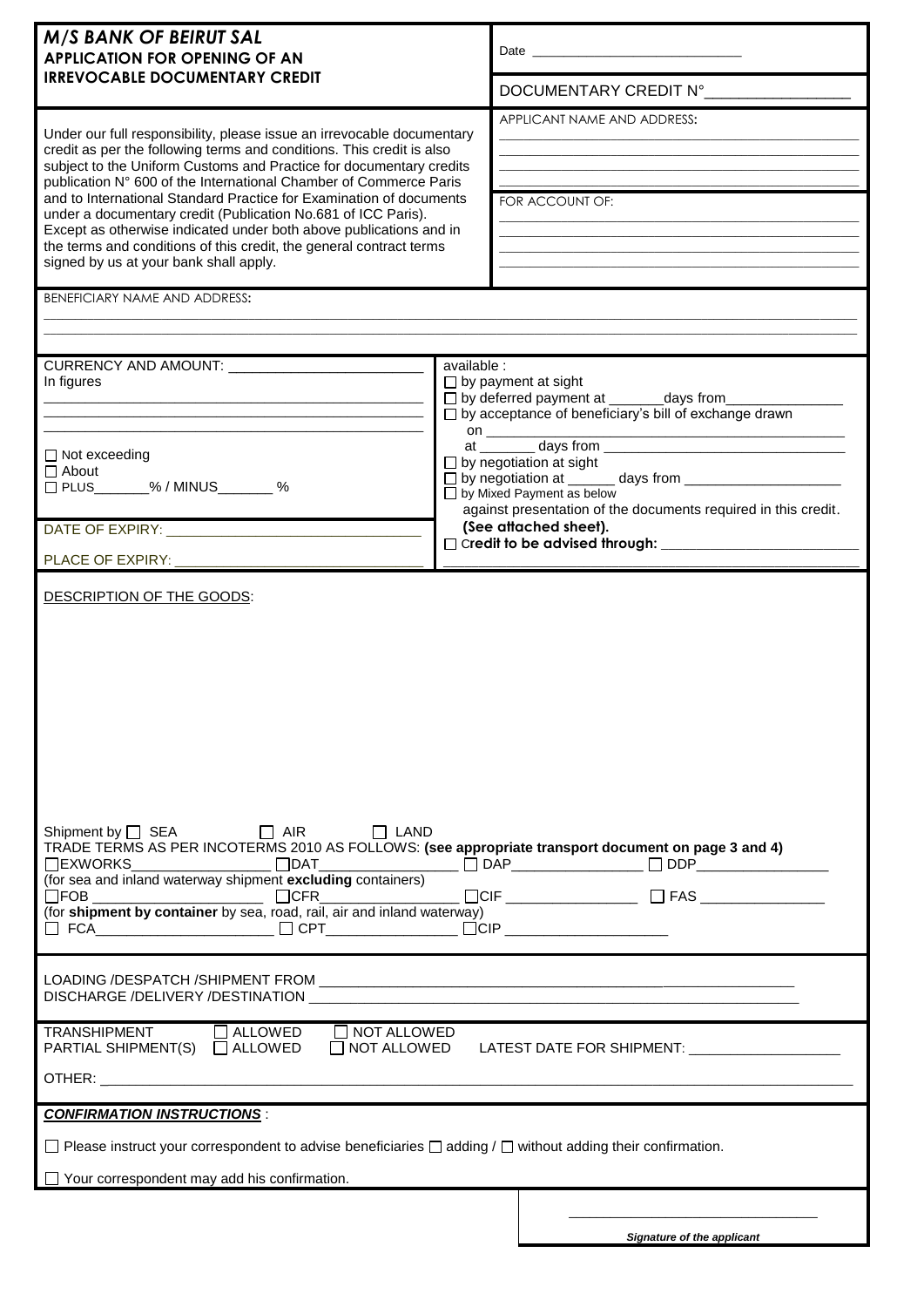| <b>M/S BANK OF BEIRUT SAL</b><br><b>APPLICATION FOR OPENING OF AN</b>                                                                                                                                                                                                                                                                                                                                                                                                                                                                                                                                                      |                                                                                                                                                                                                                                                                                                       |  |  |
|----------------------------------------------------------------------------------------------------------------------------------------------------------------------------------------------------------------------------------------------------------------------------------------------------------------------------------------------------------------------------------------------------------------------------------------------------------------------------------------------------------------------------------------------------------------------------------------------------------------------------|-------------------------------------------------------------------------------------------------------------------------------------------------------------------------------------------------------------------------------------------------------------------------------------------------------|--|--|
| <b>IRREVOCABLE DOCUMENTARY CREDIT</b>                                                                                                                                                                                                                                                                                                                                                                                                                                                                                                                                                                                      | DOCUMENTARY CREDIT Nº                                                                                                                                                                                                                                                                                 |  |  |
| Under our full responsibility, please issue an irrevocable documentary<br>credit as per the following terms and conditions. This credit is also<br>subject to the Uniform Customs and Practice for documentary credits<br>publication N° 600 of the International Chamber of Commerce Paris<br>and to International Standard Practice for Examination of documents<br>under a documentary credit (Publication No.681 of ICC Paris).<br>Except as otherwise indicated under both above publications and in<br>the terms and conditions of this credit, the general contract terms<br>signed by us at your bank shall apply. | APPLICANT NAME AND ADDRESS:<br>FOR ACCOUNT OF:                                                                                                                                                                                                                                                        |  |  |
| BENEFICIARY NAME AND ADDRESS:                                                                                                                                                                                                                                                                                                                                                                                                                                                                                                                                                                                              |                                                                                                                                                                                                                                                                                                       |  |  |
|                                                                                                                                                                                                                                                                                                                                                                                                                                                                                                                                                                                                                            |                                                                                                                                                                                                                                                                                                       |  |  |
| In figures<br><u> 1989 - Andrea Barbara, Amerikaansk politik fizik en beskriuwer oan de familien fan de familien fan de familie</u><br><u> 1989 - Johann Stoff, amerikansk politiker (d. 1989)</u><br>$\Box$ Not exceeding<br>$\Box$ About<br>□ PLUS_______% / MINUS_______ %                                                                                                                                                                                                                                                                                                                                              | available :<br>$\Box$ by payment at sight<br>□ by deferred payment at ________days from_<br>□ by acceptance of beneficiary's bill of exchange drawn<br>on $\qquad$<br>$\Box$ by negotiation at sight<br>□ by Mixed Payment as below<br>against presentation of the documents required in this credit. |  |  |
|                                                                                                                                                                                                                                                                                                                                                                                                                                                                                                                                                                                                                            | (See attached sheet).                                                                                                                                                                                                                                                                                 |  |  |
| PLACE OF EXPIRY: ____________                                                                                                                                                                                                                                                                                                                                                                                                                                                                                                                                                                                              |                                                                                                                                                                                                                                                                                                       |  |  |
| DESCRIPTION OF THE GOODS:<br>Shipment by $\Box$ SEA $\Box$ AIR $\Box$ LAND<br>TRADE TERMS AS PER INCOTERMS 2010 AS FOLLOWS: (see appropriate transport document on page 3 and 4)<br>□ FCA________________________ □ CPT________________ □CIP _______________________                                                                                                                                                                                                                                                                                                                                                       |                                                                                                                                                                                                                                                                                                       |  |  |
|                                                                                                                                                                                                                                                                                                                                                                                                                                                                                                                                                                                                                            |                                                                                                                                                                                                                                                                                                       |  |  |
| TRANSHIPMENT<br>$\Box$ NOT ALLOWED<br>$\Box$ ALLOWED<br>PARTIAL SHIPMENT(S) □ ALLOWED □ NOT ALLOWED                                                                                                                                                                                                                                                                                                                                                                                                                                                                                                                        | LATEST DATE FOR SHIPMENT: _____________________                                                                                                                                                                                                                                                       |  |  |
| <b>CONFIRMATION INSTRUCTIONS:</b>                                                                                                                                                                                                                                                                                                                                                                                                                                                                                                                                                                                          |                                                                                                                                                                                                                                                                                                       |  |  |
| $\Box$ Please instruct your correspondent to advise beneficiaries $\Box$ adding / $\Box$ without adding their confirmation.<br>Your correspondent may add his confirmation.                                                                                                                                                                                                                                                                                                                                                                                                                                                |                                                                                                                                                                                                                                                                                                       |  |  |
|                                                                                                                                                                                                                                                                                                                                                                                                                                                                                                                                                                                                                            | <b>Signature of the applicant</b>                                                                                                                                                                                                                                                                     |  |  |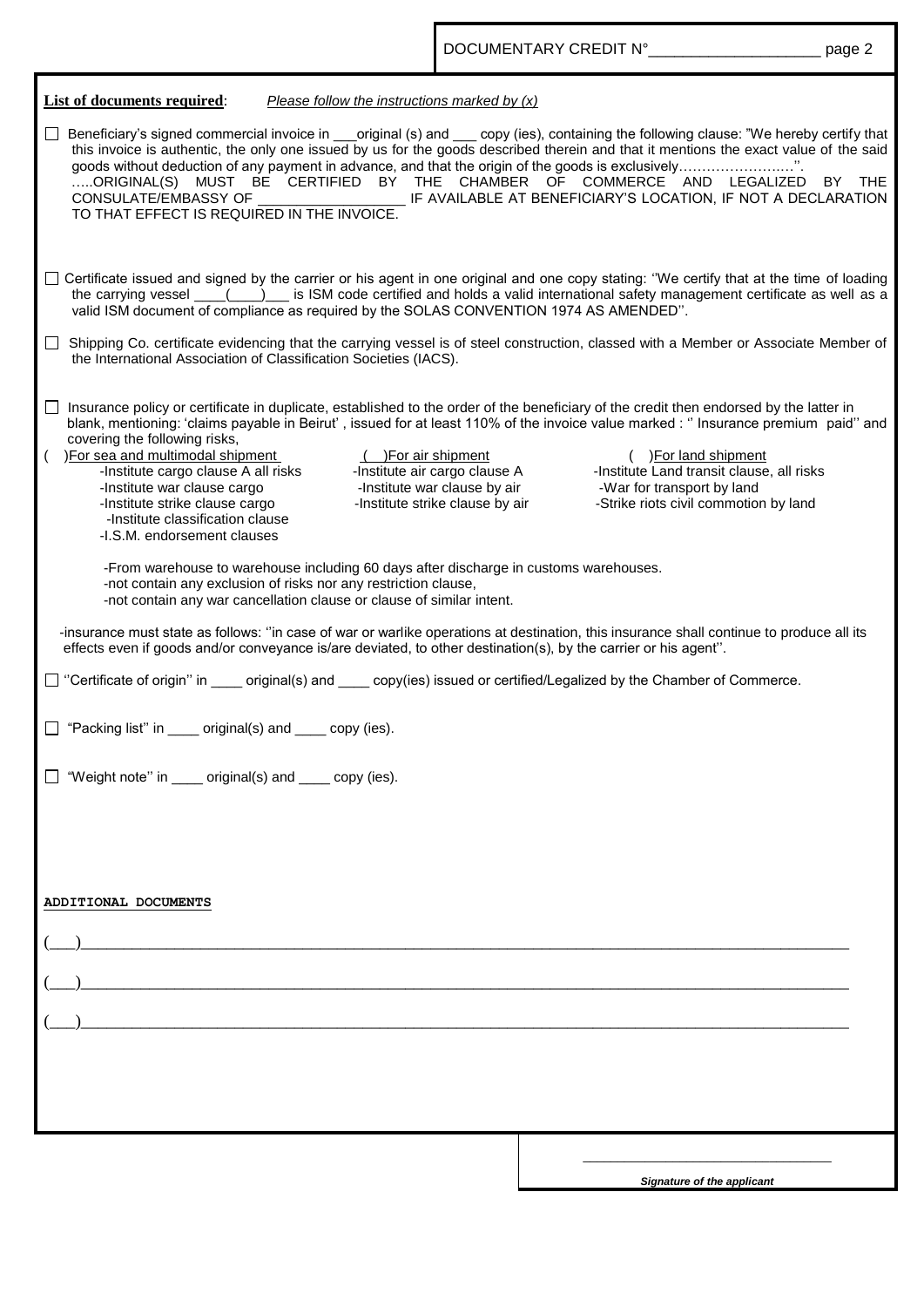| List of documents required:<br>Please follow the instructions marked by $(x)$                                                                                                                                                                                                                                                                                                                                                                                                                                                                                                                                                                                                                                                                                                                                                                                                                                                                                                                                                                                                                                                                                                                                                                                                                                                                                                                                            |                                                                                                                                                                             |  |
|--------------------------------------------------------------------------------------------------------------------------------------------------------------------------------------------------------------------------------------------------------------------------------------------------------------------------------------------------------------------------------------------------------------------------------------------------------------------------------------------------------------------------------------------------------------------------------------------------------------------------------------------------------------------------------------------------------------------------------------------------------------------------------------------------------------------------------------------------------------------------------------------------------------------------------------------------------------------------------------------------------------------------------------------------------------------------------------------------------------------------------------------------------------------------------------------------------------------------------------------------------------------------------------------------------------------------------------------------------------------------------------------------------------------------|-----------------------------------------------------------------------------------------------------------------------------------------------------------------------------|--|
| Beneficiary's signed commercial invoice in original (s) and copy (ies), containing the following clause: "We hereby certify that<br>this invoice is authentic, the only one issued by us for the goods described therein and that it mentions the exact value of the said<br>ORIGINAL(S) MUST BE CERTIFIED BY THE CHAMBER OF COMMERCE AND LEGALIZED BY THE<br>CONSULATE/EMBASSY OF ___________________________IF AVAILABLE AT BENEFICIARY'S LOCATION, IF NOT A DECLARATION<br>TO THAT EFFECT IS REQUIRED IN THE INVOICE.                                                                                                                                                                                                                                                                                                                                                                                                                                                                                                                                                                                                                                                                                                                                                                                                                                                                                                 |                                                                                                                                                                             |  |
| □ Certificate issued and signed by the carrier or his agent in one original and one copy stating: "We certify that at the time of loading<br>the carrying vessel ___(__)__ is ISM code certified and holds a valid international safety management certificate as well as a<br>valid ISM document of compliance as required by the SOLAS CONVENTION 1974 AS AMENDED".                                                                                                                                                                                                                                                                                                                                                                                                                                                                                                                                                                                                                                                                                                                                                                                                                                                                                                                                                                                                                                                    |                                                                                                                                                                             |  |
| □ Shipping Co. certificate evidencing that the carrying vessel is of steel construction, classed with a Member or Associate Member of<br>the International Association of Classification Societies (IACS).                                                                                                                                                                                                                                                                                                                                                                                                                                                                                                                                                                                                                                                                                                                                                                                                                                                                                                                                                                                                                                                                                                                                                                                                               |                                                                                                                                                                             |  |
| □ Insurance policy or certificate in duplicate, established to the order of the beneficiary of the credit then endorsed by the latter in<br>blank, mentioning: 'claims payable in Beirut', issued for at least 110% of the invoice value marked : " Insurance premium paid" and<br>covering the following risks,<br>For sea and multimodal shipment<br>( )For air shipment<br>-Institute air cargo clause A<br>sea and multimodal shipment<br>-Institute cargo clause A all risks<br>-Institute war clause cargo<br>-Institute strike clause cargo<br>-Institute strike clause by air<br>-Institute classification clause<br>-I.S.M. endorsement clauses<br>-From warehouse to warehouse including 60 days after discharge in customs warehouses.<br>-not contain any exclusion of risks nor any restriction clause,<br>-not contain any war cancellation clause or clause of similar intent.<br>-insurance must state as follows: "in case of war or warlike operations at destination, this insurance shall continue to produce all its<br>effects even if goods and/or conveyance is/are deviated, to other destination(s), by the carrier or his agent".<br>□ "Certificate of origin" in ____ original(s) and ____ copy(ies) issued or certified/Legalized by the Chamber of Commerce.<br>□ "Packing list" in <u>___</u> original(s) and ____ copy (ies).<br>"Weight note" in _____ original(s) and ____ copy (ies). | ( )For land shipment<br>-Institute Land transit clause, all risks<br>-Institute war clause by air <b>War for transport by land</b><br>-Strike riots civil commotion by land |  |
| ADDITIONAL DOCUMENTS                                                                                                                                                                                                                                                                                                                                                                                                                                                                                                                                                                                                                                                                                                                                                                                                                                                                                                                                                                                                                                                                                                                                                                                                                                                                                                                                                                                                     |                                                                                                                                                                             |  |
|                                                                                                                                                                                                                                                                                                                                                                                                                                                                                                                                                                                                                                                                                                                                                                                                                                                                                                                                                                                                                                                                                                                                                                                                                                                                                                                                                                                                                          | Signature of the applicant                                                                                                                                                  |  |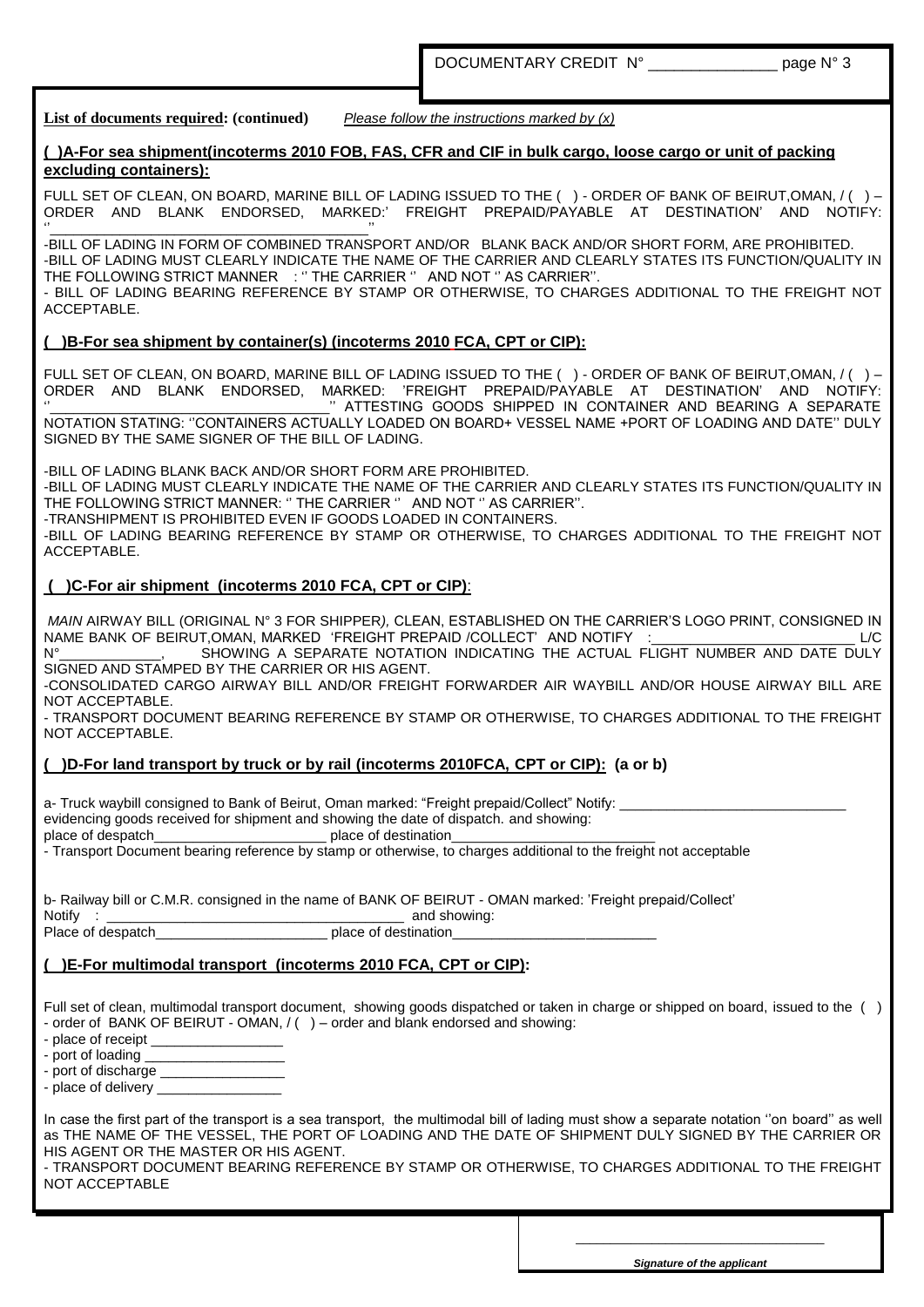DOCUMENTARY CREDIT N° page N° 3

**List of documents required: (continued)** *Please follow the instructions marked by (x)*

#### **( )A-For sea shipment(incoterms 2010 FOB, FAS, CFR and CIF in bulk cargo, loose cargo or unit of packing excluding containers):**

FULL SET OF CLEAN, ON BOARD, MARINE BILL OF LADING ISSUED TO THE ( ) - ORDER OF BANK OF BEIRUT,OMAN, / ( ) – ORDER AND BLANK ENDORSED, MARKED:" FREIGHT PREPAID/PAYABLE AT DESTINATION" AND NOTIFY:

 $\blacksquare$ -BILL OF LADING IN FORM OF COMBINED TRANSPORT AND/OR BLANK BACK AND/OR SHORT FORM, ARE PROHIBITED. -BILL OF LADING MUST CLEARLY INDICATE THE NAME OF THE CARRIER AND CLEARLY STATES ITS FUNCTION/QUALITY IN THE FOLLOWING STRICT MANNER : "THE CARRIER " AND NOT " AS CARRIER".

- BILL OF LADING BEARING REFERENCE BY STAMP OR OTHERWISE, TO CHARGES ADDITIONAL TO THE FREIGHT NOT ACCEPTABLE.

# **( )B-For sea shipment by container(s) (incoterms 2010 FCA, CPT or CIP):**

FULL SET OF CLEAN, ON BOARD, MARINE BILL OF LADING ISSUED TO THE ( ) - ORDER OF BANK OF BEIRUT,OMAN, / ( ) – ORDER AND BLANK ENDORSED, MARKED: "FREIGHT PREPAID/PAYABLE AT DESTINATION" AND NOTIFY: " ATTESTING GOODS SHIPPED IN CONTAINER AND BEARING A SEPARATE

NOTATION STATING: ""CONTAINERS ACTUALLY LOADED ON BOARD+ VESSEL NAME +PORT OF LOADING AND DATE"" DULY SIGNED BY THE SAME SIGNER OF THE BILL OF LADING.

-BILL OF LADING BLANK BACK AND/OR SHORT FORM ARE PROHIBITED.

-BILL OF LADING MUST CLEARLY INDICATE THE NAME OF THE CARRIER AND CLEARLY STATES ITS FUNCTION/QUALITY IN THE FOLLOWING STRICT MANNER: " THE CARRIER " AND NOT " AS CARRIER".

-TRANSHIPMENT IS PROHIBITED EVEN IF GOODS LOADED IN CONTAINERS.

-BILL OF LADING BEARING REFERENCE BY STAMP OR OTHERWISE, TO CHARGES ADDITIONAL TO THE FREIGHT NOT ACCEPTABLE.

# **( )C-For air shipment (incoterms 2010 FCA, CPT or CIP)**:

*MAIN* AIRWAY BILL (ORIGINAL N° 3 FOR SHIPPER*),* CLEAN, ESTABLISHED ON THE CARRIER"S LOGO PRINT, CONSIGNED IN NAME BANK OF BEIRUT,OMAN, MARKED "FREIGHT PREPAID /COLLECT" AND NOTIFY :\_\_\_\_\_\_\_\_\_\_\_\_\_\_\_\_\_\_\_\_\_\_\_\_\_\_ L/C

SHOWING A SEPARATE NOTATION INDICATING THE ACTUAL FLIGHT NUMBER AND DATE DULY SIGNED AND STAMPED BY THE CARRIER OR HIS AGENT.

-CONSOLIDATED CARGO AIRWAY BILL AND/OR FREIGHT FORWARDER AIR WAYBILL AND/OR HOUSE AIRWAY BILL ARE NOT ACCEPTABLE.

- TRANSPORT DOCUMENT BEARING REFERENCE BY STAMP OR OTHERWISE, TO CHARGES ADDITIONAL TO THE FREIGHT NOT ACCEPTABLE.

# **( )D-For land transport by truck or by rail (incoterms 2010FCA, CPT or CIP): (a or b)**

a- Truck waybill consigned to Bank of Beirut, Oman marked: "Freight prepaid/Collect" Notify:

evidencing goods received for shipment and showing the date of dispatch. and showing:

place of despatch\_\_\_\_\_\_\_\_\_\_\_\_\_\_\_\_\_\_\_\_\_\_\_\_\_\_\_\_\_\_\_\_\_\_\_ place of destination\_

- Transport Document bearing reference by stamp or otherwise, to charges additional to the freight not acceptable

b- Railway bill or C.M.R. consigned in the name of BANK OF BEIRUT - OMAN marked: "Freight prepaid/Collect"

Notify : \_\_\_\_\_\_\_\_\_\_\_\_\_\_\_\_\_\_\_\_\_\_\_\_\_\_\_\_\_\_\_\_\_\_\_\_\_\_ and showing: place of destination

# **( )E-For multimodal transport (incoterms 2010 FCA, CPT or CIP):**

Full set of clean, multimodal transport document, showing goods dispatched or taken in charge or shipped on board, issued to the ( ) - order of BANK OF BEIRUT - OMAN, / () – order and blank endorsed and showing:

- place of receipt

- port of loading \_\_\_

- port of discharge

- place of delivery

In case the first part of the transport is a sea transport, the multimodal bill of lading must show a separate notation "on board" as well as THE NAME OF THE VESSEL, THE PORT OF LOADING AND THE DATE OF SHIPMENT DULY SIGNED BY THE CARRIER OR HIS AGENT OR THE MASTER OR HIS AGENT.

- TRANSPORT DOCUMENT BEARING REFERENCE BY STAMP OR OTHERWISE, TO CHARGES ADDITIONAL TO THE FREIGHT NOT ACCEPTABLE

> \_\_\_\_\_\_\_\_\_\_\_\_\_\_\_\_\_\_\_\_\_\_\_\_\_\_\_\_\_\_\_\_\_\_\_\_ *Signature of the applicant*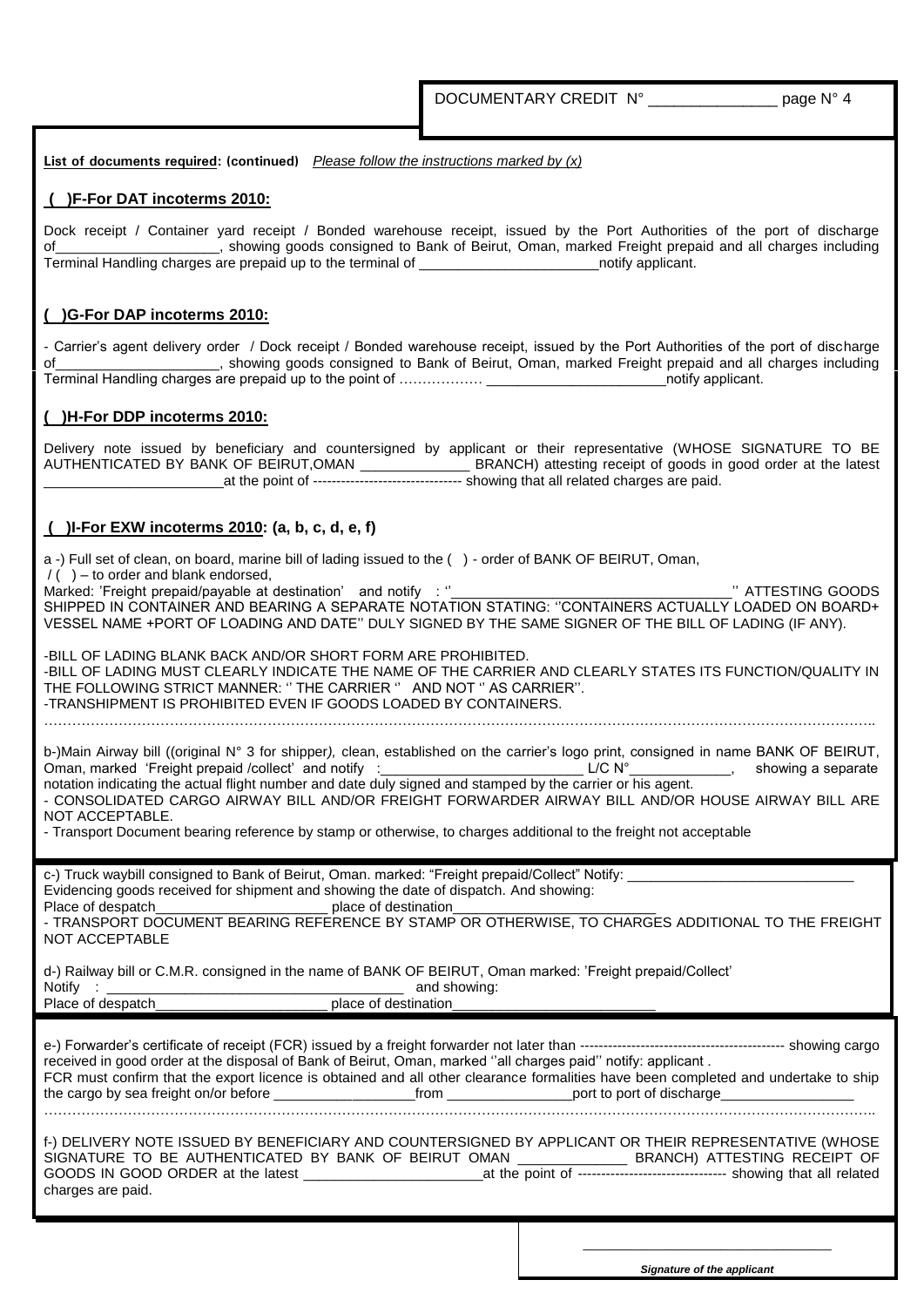**List of documents required: (continued)** *Please follow the instructions marked by (x)*

### **( )F-For DAT incoterms 2010:**

Dock receipt / Container yard receipt / Bonded warehouse receipt, issued by the Port Authorities of the port of discharge of\_\_\_\_\_\_\_\_\_\_\_\_\_\_\_\_\_\_\_\_\_, showing goods consigned to Bank of Beirut, Oman, marked Freight prepaid and all charges including Terminal Handling charges are prepaid up to the terminal of \_\_\_\_\_\_\_\_\_\_\_\_\_\_\_\_\_\_\_\_\_\_\_notify applicant.

### **( )G-For DAP incoterms 2010:**

- Carrier's agent delivery order / Dock receipt / Bonded warehouse receipt, issued by the Port Authorities of the port of discharge of\_\_\_\_\_\_\_\_\_\_\_\_\_\_\_\_\_\_\_\_\_, showing goods consigned to Bank of Beirut, Oman, marked Freight prepaid and all charges including Terminal Handling charges are prepaid up to the point of ……………… \_\_\_\_\_\_\_\_\_\_\_\_\_\_\_\_\_\_\_\_\_\_\_notify applicant.

### **( )H-For DDP incoterms 2010:**

Delivery note issued by beneficiary and countersigned by applicant or their representative (WHOSE SIGNATURE TO BE AUTHENTICATED BY BANK OF BEIRUT,OMAN \_\_\_\_\_\_\_\_\_\_\_\_\_\_ BRANCH) attesting receipt of goods in good order at the latest \_\_\_\_\_\_\_\_\_\_\_\_\_\_\_\_\_\_\_\_\_\_\_at the point of -------------------------------- showing that all related charges are paid.

### **( )I-For EXW incoterms 2010: (a, b, c, d, e, f)**

| a -) Full set of clean, on board, marine bill of lading issued to the () - order of BANK OF BEIRUT, Oman,<br>$/( )$ - to order and blank endorsed,                                                                                                                                                                                                                                                                                                                                                                                                                                                                               |  |  |
|----------------------------------------------------------------------------------------------------------------------------------------------------------------------------------------------------------------------------------------------------------------------------------------------------------------------------------------------------------------------------------------------------------------------------------------------------------------------------------------------------------------------------------------------------------------------------------------------------------------------------------|--|--|
| Marked: 'Freight prepaid/payable at destination' and notify : "<br>SHIPPED IN CONTAINER AND BEARING A SEPARATE NOTATION STATING: "CONTAINERS ACTUALLY LOADED ON BOARD+<br>VESSEL NAME +PORT OF LOADING AND DATE" DULY SIGNED BY THE SAME SIGNER OF THE BILL OF LADING (IF ANY).                                                                                                                                                                                                                                                                                                                                                  |  |  |
| -BILL OF LADING BLANK BACK AND/OR SHORT FORM ARE PROHIBITED.<br>-BILL OF LADING MUST CLEARLY INDICATE THE NAME OF THE CARRIER AND CLEARLY STATES ITS FUNCTION/QUALITY IN<br>THE FOLLOWING STRICT MANNER: " THE CARRIER " AND NOT " AS CARRIER".<br>-TRANSHIPMENT IS PROHIBITED EVEN IF GOODS LOADED BY CONTAINERS.                                                                                                                                                                                                                                                                                                               |  |  |
| b-)Main Airway bill ((original N° 3 for shipper), clean, established on the carrier's logo print, consigned in name BANK OF BEIRUT,<br>Oman, marked 'Freight prepaid /collect' and notify :__________________________________L/C N°_____________, showing a separate<br>notation indicating the actual flight number and date duly signed and stamped by the carrier or his agent.<br>- CONSOLIDATED CARGO AIRWAY BILL AND/OR FREIGHT FORWARDER AIRWAY BILL AND/OR HOUSE AIRWAY BILL ARE<br>NOT ACCEPTABLE.<br>- Transport Document bearing reference by stamp or otherwise, to charges additional to the freight not acceptable |  |  |
| c-) Truck waybill consigned to Bank of Beirut, Oman. marked: "Freight prepaid/Collect" Notify: _______________<br>Evidencing goods received for shipment and showing the date of dispatch. And showing:<br>Place of despatch______________________________ place of destination____________<br>- TRANSPORT DOCUMENT BEARING REFERENCE BY STAMP OR OTHERWISE, TO CHARGES ADDITIONAL TO THE FREIGHT<br>NOT ACCEPTABLE                                                                                                                                                                                                              |  |  |
| d-) Railway bill or C.M.R. consigned in the name of BANK OF BEIRUT, Oman marked: 'Freight prepaid/Collect'                                                                                                                                                                                                                                                                                                                                                                                                                                                                                                                       |  |  |
| received in good order at the disposal of Bank of Beirut, Oman, marked "all charges paid" notify: applicant.<br>FCR must confirm that the export licence is obtained and all other clearance formalities have been completed and undertake to ship                                                                                                                                                                                                                                                                                                                                                                               |  |  |
| f-) DELIVERY NOTE ISSUED BY BENEFICIARY AND COUNTERSIGNED BY APPLICANT OR THEIR REPRESENTATIVE (WHOSE<br>SIGNATURE TO BE AUTHENTICATED BY BANK OF BEIRUT OMAN _________________ BRANCH) ATTESTING RECEIPT OF<br>GOODS IN GOOD ORDER at the latest at the solution of the point of ---------------------------------- showing that all related<br>charges are paid.                                                                                                                                                                                                                                                               |  |  |
|                                                                                                                                                                                                                                                                                                                                                                                                                                                                                                                                                                                                                                  |  |  |

*Signature of the applicant*